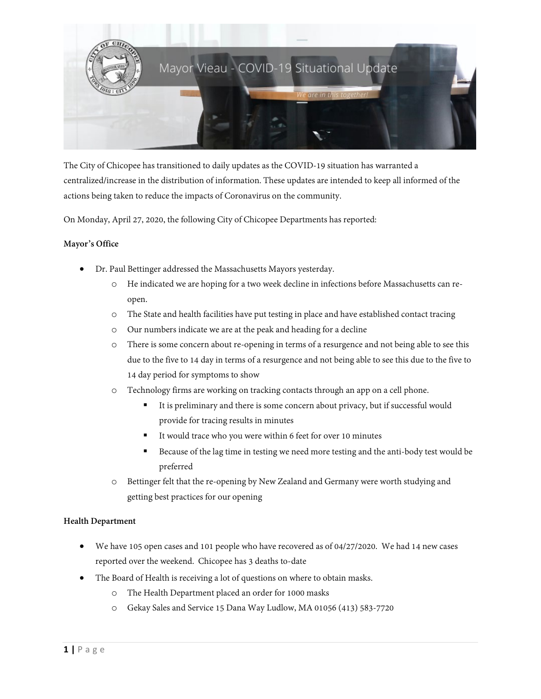

The City of Chicopee has transitioned to daily updates as the COVID-19 situation has warranted a centralized/increase in the distribution of information. These updates are intended to keep all informed of the actions being taken to reduce the impacts of Coronavirus on the community.

On Monday, April 27, 2020, the following City of Chicopee Departments has reported:

# **Mayor's Office**

- Dr. Paul Bettinger addressed the Massachusetts Mayors yesterday.
	- o He indicated we are hoping for a two week decline in infections before Massachusetts can reopen.
	- o The State and health facilities have put testing in place and have established contact tracing
	- o Our numbers indicate we are at the peak and heading for a decline
	- o There is some concern about re-opening in terms of a resurgence and not being able to see this due to the five to 14 day in terms of a resurgence and not being able to see this due to the five to 14 day period for symptoms to show
	- o Technology firms are working on tracking contacts through an app on a cell phone.
		- It is preliminary and there is some concern about privacy, but if successful would provide for tracing results in minutes
		- It would trace who you were within 6 feet for over 10 minutes
		- Because of the lag time in testing we need more testing and the anti-body test would be preferred
	- o Bettinger felt that the re-opening by New Zealand and Germany were worth studying and getting best practices for our opening

# **Health Department**

- We have 105 open cases and 101 people who have recovered as of 04/27/2020. We had 14 new cases reported over the weekend. Chicopee has 3 deaths to-date
- The Board of Health is receiving a lot of questions on where to obtain masks.
	- o The Health Department placed an order for 1000 masks
	- o Gekay Sales and Service 15 Dana Way Ludlow, MA 01056 (413) 583-7720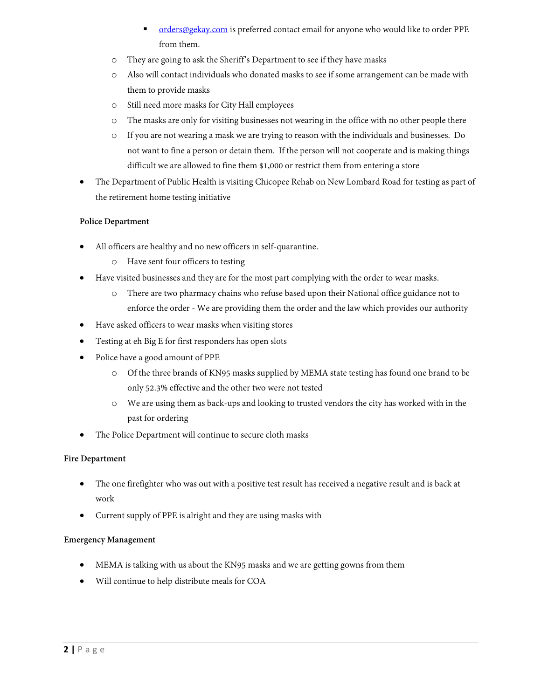- [orders@gekay.com](mailto:orders@gekay.com) is preferred contact email for anyone who would like to order PPE from them.
- o They are going to ask the Sheriff's Department to see if they have masks
- o Also will contact individuals who donated masks to see if some arrangement can be made with them to provide masks
- o Still need more masks for City Hall employees
- o The masks are only for visiting businesses not wearing in the office with no other people there
- o If you are not wearing a mask we are trying to reason with the individuals and businesses. Do not want to fine a person or detain them. If the person will not cooperate and is making things difficult we are allowed to fine them \$1,000 or restrict them from entering a store
- The Department of Public Health is visiting Chicopee Rehab on New Lombard Road for testing as part of the retirement home testing initiative

# **Police Department**

- All officers are healthy and no new officers in self-quarantine.
	- o Have sent four officers to testing
- Have visited businesses and they are for the most part complying with the order to wear masks.
	- o There are two pharmacy chains who refuse based upon their National office guidance not to enforce the order - We are providing them the order and the law which provides our authority
- Have asked officers to wear masks when visiting stores
- Testing at eh Big E for first responders has open slots
- Police have a good amount of PPE
	- o Of the three brands of KN95 masks supplied by MEMA state testing has found one brand to be only 52.3% effective and the other two were not tested
	- o We are using them as back-ups and looking to trusted vendors the city has worked with in the past for ordering
- The Police Department will continue to secure cloth masks

# **Fire Department**

- The one firefighter who was out with a positive test result has received a negative result and is back at work
- Current supply of PPE is alright and they are using masks with

# **Emergency Management**

- MEMA is talking with us about the KN95 masks and we are getting gowns from them
- Will continue to help distribute meals for COA